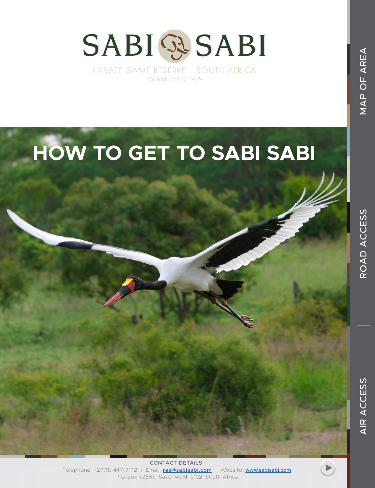



MAP OF AREA

CONTACT DETAILS: Telephone: +27(11) 447-7172 | Email: res@sabisabi.com | Website: www.sabisabi.com P O Box 52665, Saxonwold, 2132, South Africa

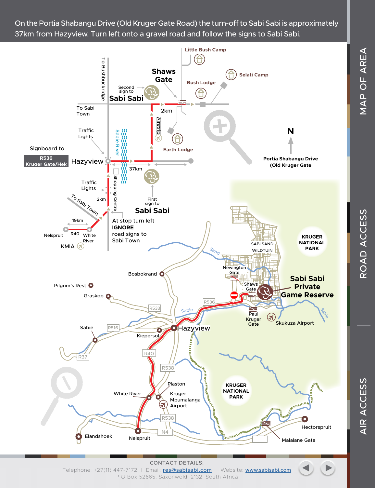On the Portia Shabangu Drive (Old Kruger Gate Road) the turn-off to Sabi Sabi is approximately 37km from Hazyview. Turn left onto a gravel road and follow the signs to Sabi Sabi.



CONTACT DETAILS: Telephone: +27(11) 447-7172 | Email: res@sabisabi.com | Website: www.sabisabi.com P O Box 52665, Saxonwold, 2132, South Africa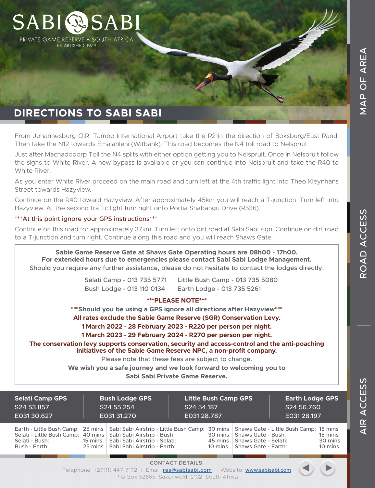# **DIRECTIONS TO SABI SABI**

**SABIOSSA** 

PRIVATE GAME RESERVE - SOUTH AFRICA ESTABLISHED 1979

From Johannesburg O.R. Tambo International Airport take the R21in the direction of Boksburg/East Rand. Then take the N12 towards Emalahleni (Witbank). This road becomes the N4 toll road to Nelspruit.

Just after Machadodorp Toll the N4 splits with either option getting you to Nelspruit. Once in Nelspruit follow the signs to White River. A new bypass is available or you can continue into Nelspruit and take the R40 to White River.

As you enter White River proceed on the main road and turn left at the 4th traffic light into Theo Kleynhans Street towards Hazyview.

Continue on the R40 toward Hazyview. After approximately 45km you will reach a T-junction. Turn left into Hazyview. At the second traffic light turn right onto Portia Shabangu Drive (R536).

#### \*\*\*At this point ignore your GPS instructions\*\*\*

Continue on this road for approximately 37km. Turn left onto dirt road at Sabi Sabi sign. Continue on dirt road to a T-junction and turn right. Continue along this road and you will reach Shaws Gate.

**Sabie Game Reserve Gate at Shaws Gate Operating hours are 08h00 - 17h00. For extended hours due to emergencies please contact Sabi Sabi Lodge Management.** Should you require any further assistance, please do not hesitate to contact the lodges directly:

> Selati Camp - 013 735 5771 Little Bush Camp - 013 735 5080 Bush Lodge - 013 110 0134 Earth Lodge - 013 735 5261

#### **\*\*\*PLEASE NOTE\*\*\***

**\*\*\*Should you be using a GPS ignore all directions after Hazyview\*\*\***

**All rates exclude the Sabie Game Reserve (SGR) Conservation Levy.**

**1 March 2022 - 28 February 2023 - R220 per person per night.**

**1 March 2023 - 29 February 2024 - R270 per person per night.**

**The conservation levy supports conservation, security and access-control and the anti-poaching initiatives of the Sabie Game Reserve NPC, a non-profit company.**

Please note that these fees are subject to change.

**We wish you a safe journey and we look forward to welcoming you to**

**Sabi Sabi Private Game Reserve.**

| <b>Selati Camp GPS</b><br>S24 53.857<br>E031 30.627                                                                           |                                         | <b>Bush Lodge GPS</b><br>S24 55.254<br>E031 31.270                                                                                                     | S24 54.187<br>E031 28.787 | <b>Little Bush Camp GPS</b>             |                                                                   | <b>Earth Lodge GPS</b><br>S24 56.760<br>E031 28.197 |                               |
|-------------------------------------------------------------------------------------------------------------------------------|-----------------------------------------|--------------------------------------------------------------------------------------------------------------------------------------------------------|---------------------------|-----------------------------------------|-------------------------------------------------------------------|-----------------------------------------------------|-------------------------------|
| Earth - Little Bush Camp<br>Selati - Little Bush Camp: 40 mins   Sabi Sabi Airstrip - Bush<br>Selati - Bush:<br>Bush - Earth: | $25 \text{ mins}$<br>15 mins<br>25 mins | Sabi Sabi Airstrip - Little Bush Camp: 30 mins   Shaws Gate - Little Bush Camp: 15 mins<br>Sabi Sabi Airstrip - Selati:<br>Sabi Sabi Airstrip - Earth: |                           | $30 \text{ mins}$<br>45 mins<br>10 mins | Shaws Gate - Bush:<br>Shaws Gate - Selati:<br>Shaws Gate - Earth: |                                                     | 15 mins<br>30 mins<br>10 mins |



ROAD ACCESS

CONTACT DETAILS: Telephone: +27(11) 447-7172 | Email: **res@sabisabi.com** | Website: www.sabisabi.com

P O Box 52665, Saxonwold, 2132, South Africa